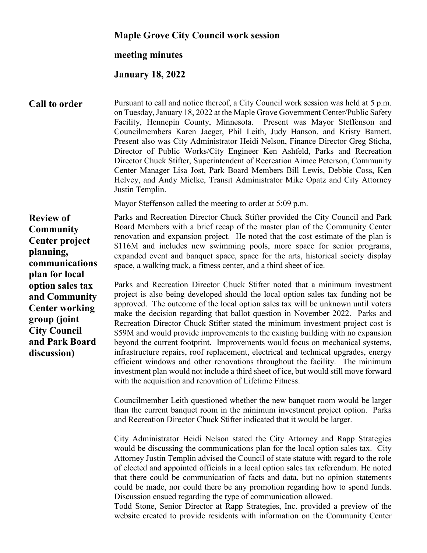## **Maple Grove City Council work session**

## **meeting minutes**

## **January 18, 2022**

**Call to order** Pursuant to call and notice thereof, a City Council work session was held at 5 p.m. on Tuesday, January 18, 2022 at the Maple Grove Government Center/Public Safety Facility, Hennepin County, Minnesota. Present was Mayor Steffenson and Councilmembers Karen Jaeger, Phil Leith, Judy Hanson, and Kristy Barnett. Present also was City Administrator Heidi Nelson, Finance Director Greg Sticha, Director of Public Works/City Engineer Ken Ashfeld, Parks and Recreation Director Chuck Stifter, Superintendent of Recreation Aimee Peterson, Community Center Manager Lisa Jost, Park Board Members Bill Lewis, Debbie Coss, Ken Helvey, and Andy Mielke, Transit Administrator Mike Opatz and City Attorney Justin Templin.

Mayor Steffenson called the meeting to order at 5:09 p.m.

**Review of Community Center project planning, communications plan for local option sales tax and Community Center working group (joint City Council and Park Board discussion)**

Parks and Recreation Director Chuck Stifter provided the City Council and Park Board Members with a brief recap of the master plan of the Community Center renovation and expansion project. He noted that the cost estimate of the plan is \$116M and includes new swimming pools, more space for senior programs, expanded event and banquet space, space for the arts, historical society display space, a walking track, a fitness center, and a third sheet of ice.

Parks and Recreation Director Chuck Stifter noted that a minimum investment project is also being developed should the local option sales tax funding not be approved. The outcome of the local option sales tax will be unknown until voters make the decision regarding that ballot question in November 2022. Parks and Recreation Director Chuck Stifter stated the minimum investment project cost is \$59M and would provide improvements to the existing building with no expansion beyond the current footprint. Improvements would focus on mechanical systems, infrastructure repairs, roof replacement, electrical and technical upgrades, energy efficient windows and other renovations throughout the facility. The minimum investment plan would not include a third sheet of ice, but would still move forward with the acquisition and renovation of Lifetime Fitness.

Councilmember Leith questioned whether the new banquet room would be larger than the current banquet room in the minimum investment project option. Parks and Recreation Director Chuck Stifter indicated that it would be larger.

City Administrator Heidi Nelson stated the City Attorney and Rapp Strategies would be discussing the communications plan for the local option sales tax. City Attorney Justin Templin advised the Council of state statute with regard to the role of elected and appointed officials in a local option sales tax referendum. He noted that there could be communication of facts and data, but no opinion statements could be made, nor could there be any promotion regarding how to spend funds. Discussion ensued regarding the type of communication allowed.

Todd Stone, Senior Director at Rapp Strategies, Inc. provided a preview of the website created to provide residents with information on the Community Center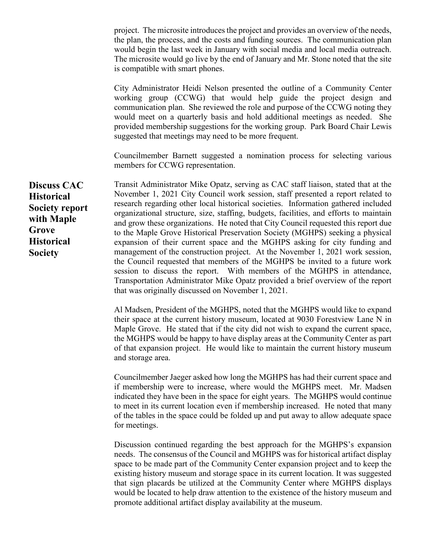project. The microsite introduces the project and provides an overview of the needs, the plan, the process, and the costs and funding sources. The communication plan would begin the last week in January with social media and local media outreach. The microsite would go live by the end of January and Mr. Stone noted that the site is compatible with smart phones.

City Administrator Heidi Nelson presented the outline of a Community Center working group (CCWG) that would help guide the project design and communication plan. She reviewed the role and purpose of the CCWG noting they would meet on a quarterly basis and hold additional meetings as needed. She provided membership suggestions for the working group. Park Board Chair Lewis suggested that meetings may need to be more frequent.

Councilmember Barnett suggested a nomination process for selecting various members for CCWG representation.

Transit Administrator Mike Opatz, serving as CAC staff liaison, stated that at the November 1, 2021 City Council work session, staff presented a report related to research regarding other local historical societies. Information gathered included organizational structure, size, staffing, budgets, facilities, and efforts to maintain and grow these organizations. He noted that City Council requested this report due to the Maple Grove Historical Preservation Society (MGHPS) seeking a physical expansion of their current space and the MGHPS asking for city funding and management of the construction project. At the November 1, 2021 work session, the Council requested that members of the MGHPS be invited to a future work session to discuss the report. With members of the MGHPS in attendance, Transportation Administrator Mike Opatz provided a brief overview of the report that was originally discussed on November 1, 2021.

> Al Madsen, President of the MGHPS, noted that the MGHPS would like to expand their space at the current history museum, located at 9030 Forestview Lane N in Maple Grove. He stated that if the city did not wish to expand the current space, the MGHPS would be happy to have display areas at the Community Center as part of that expansion project. He would like to maintain the current history museum and storage area.

> Councilmember Jaeger asked how long the MGHPS has had their current space and if membership were to increase, where would the MGHPS meet. Mr. Madsen indicated they have been in the space for eight years. The MGHPS would continue to meet in its current location even if membership increased. He noted that many of the tables in the space could be folded up and put away to allow adequate space for meetings.

> Discussion continued regarding the best approach for the MGHPS's expansion needs. The consensus of the Council and MGHPS was for historical artifact display space to be made part of the Community Center expansion project and to keep the existing history museum and storage space in its current location. It was suggested that sign placards be utilized at the Community Center where MGHPS displays would be located to help draw attention to the existence of the history museum and promote additional artifact display availability at the museum.

**Discuss CAC Historical Society report with Maple Grove Historical Society**